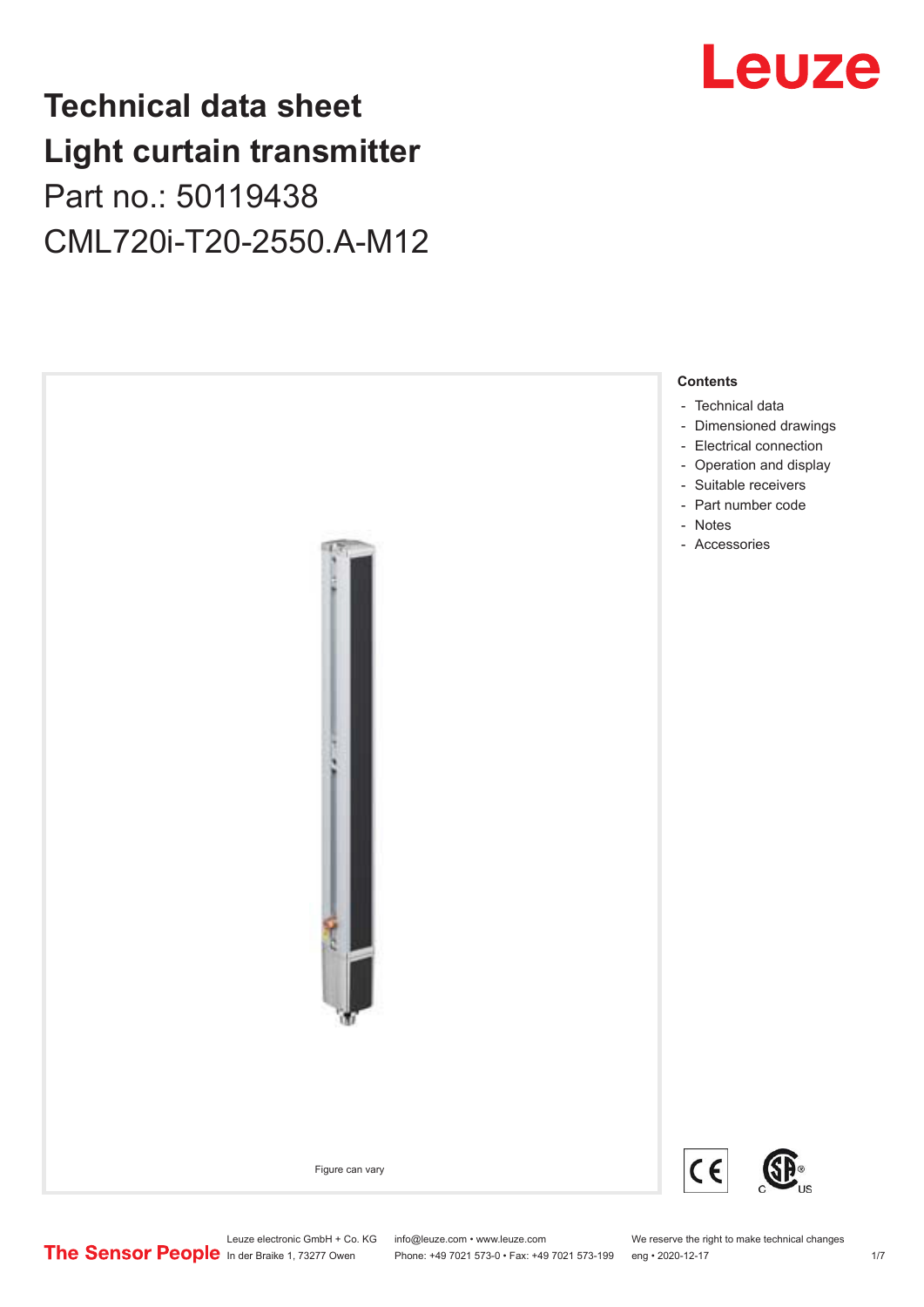## **Technical data sheet Light curtain transmitter** Part no.: 50119438 CML720i-T20-2550.A-M12



## Leuze

Phone: +49 7021 573-0 • Fax: +49 7021 573-199 eng • 2020-12-17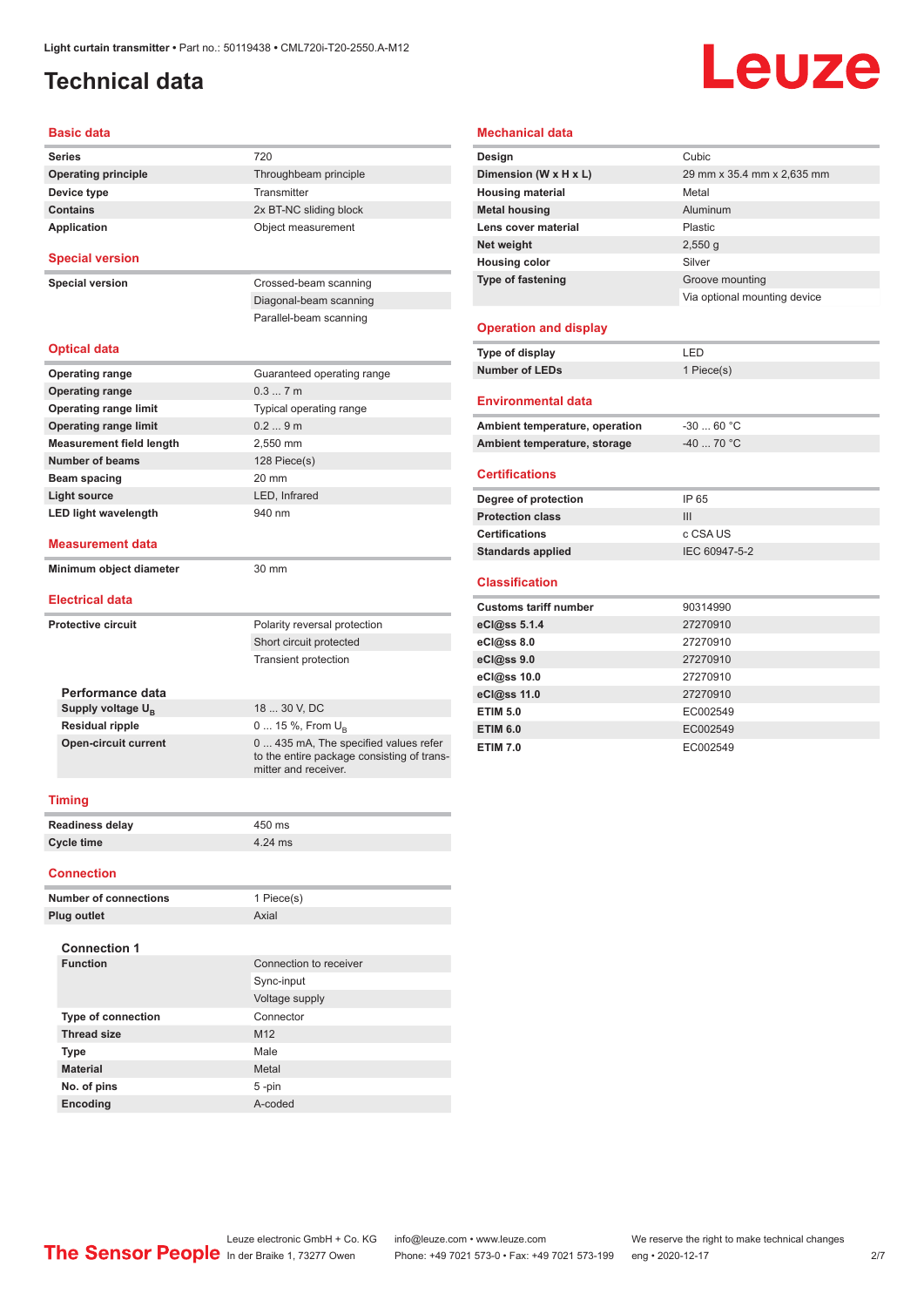## <span id="page-1-0"></span>**Technical data**

## Leuze

#### **Basic data**

| <b>Series</b>                | 720                                                                                                         |
|------------------------------|-------------------------------------------------------------------------------------------------------------|
| <b>Operating principle</b>   | Throughbeam principle                                                                                       |
| Device type                  | Transmitter                                                                                                 |
| <b>Contains</b>              | 2x BT-NC sliding block                                                                                      |
| Application                  | Object measurement                                                                                          |
|                              |                                                                                                             |
| <b>Special version</b>       |                                                                                                             |
| <b>Special version</b>       | Crossed-beam scanning                                                                                       |
|                              | Diagonal-beam scanning                                                                                      |
|                              | Parallel-beam scanning                                                                                      |
|                              |                                                                                                             |
| Optical data                 |                                                                                                             |
| <b>Operating range</b>       | Guaranteed operating range                                                                                  |
| <b>Operating range</b>       | 0.37m                                                                                                       |
| <b>Operating range limit</b> | Typical operating range                                                                                     |
| <b>Operating range limit</b> | 0.29m                                                                                                       |
| Measurement field length     | 2.550 mm                                                                                                    |
| Number of beams              | 128 Piece(s)                                                                                                |
| Beam spacing                 | 20 mm                                                                                                       |
| <b>Light source</b>          | LED, Infrared                                                                                               |
| <b>LED light wavelength</b>  | 940 nm                                                                                                      |
|                              |                                                                                                             |
| Measurement data             |                                                                                                             |
| Minimum object diameter      | 30 mm                                                                                                       |
| <b>Electrical data</b>       |                                                                                                             |
|                              |                                                                                                             |
| Protective circuit           | Polarity reversal protection                                                                                |
|                              | Short circuit protected                                                                                     |
|                              | <b>Transient protection</b>                                                                                 |
|                              |                                                                                                             |
| Performance data             | 18  30 V, DC                                                                                                |
| Supply voltage $U_{\rm B}$   |                                                                                                             |
| <b>Residual ripple</b>       | 0  15 %, From U <sub>p</sub>                                                                                |
| <b>Open-circuit current</b>  | 0  435 mA, The specified values refer<br>to the entire package consisting of trans-<br>mitter and receiver. |
|                              |                                                                                                             |
| Timina                       |                                                                                                             |

#### **Mechanical data**

| Design                       | Cubic                        |
|------------------------------|------------------------------|
| Dimension (W x H x L)        | 29 mm x 35.4 mm x 2,635 mm   |
| <b>Housing material</b>      | Metal                        |
| <b>Metal housing</b>         | Aluminum                     |
| Lens cover material          | Plastic                      |
| Net weight                   | 2,550q                       |
| <b>Housing color</b>         | Silver                       |
| <b>Type of fastening</b>     | Groove mounting              |
|                              | Via optional mounting device |
|                              |                              |
| <b>Operation and display</b> |                              |
| Type of display              | LED                          |
| <b>Number of LEDs</b>        | 1 Piece(s)                   |

#### **Environmental data**

| Ambient temperature, operation | -30  60 °C |
|--------------------------------|------------|
| Ambient temperature, storage   | -40  70 °C |

#### **Certifications**

| Degree of protection     | IP 65         |
|--------------------------|---------------|
| <b>Protection class</b>  | Ш             |
| <b>Certifications</b>    | c CSA US      |
| <b>Standards applied</b> | IEC 60947-5-2 |

#### **Classification**

| <b>Customs tariff number</b> | 90314990 |
|------------------------------|----------|
| eCl@ss 5.1.4                 | 27270910 |
| eCl@ss 8.0                   | 27270910 |
| eCl@ss 9.0                   | 27270910 |
| eCl@ss 10.0                  | 27270910 |
| eCl@ss 11.0                  | 27270910 |
| <b>ETIM 5.0</b>              | EC002549 |
| <b>ETIM 6.0</b>              | EC002549 |
| <b>ETIM 7.0</b>              | EC002549 |

#### **Timing**

| <b>Readiness delay</b> | 450 ms  |
|------------------------|---------|
| Cycle time             | 4.24 ms |

#### **Connection**

| 1 Piece(s)             |
|------------------------|
| Axial                  |
|                        |
| Connection to receiver |
| Sync-input             |
| Voltage supply         |
| Connector              |
| M <sub>12</sub>        |
| Male                   |
| Metal                  |
| $5 - pin$              |
| A-coded                |
|                        |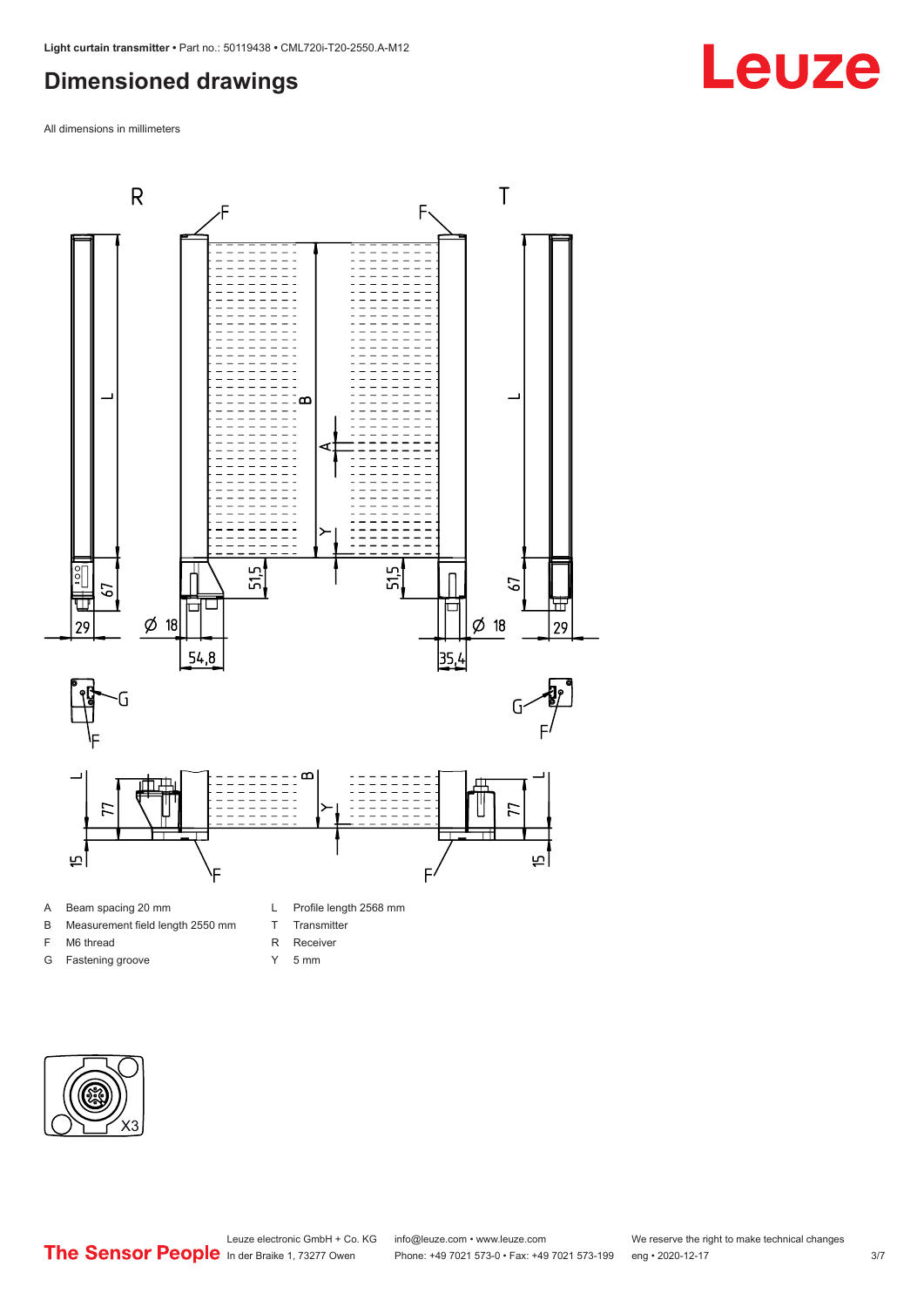## <span id="page-2-0"></span>**Dimensioned drawings**

All dimensions in millimeters



#### A Beam spacing 20 mm

- B Measurement field length 2550 mm
- F M6 thread
- G Fastening groove
- L Profile length 2568 mm
- T Transmitter
- R Receiver
- Y 5 mm





**Leuze**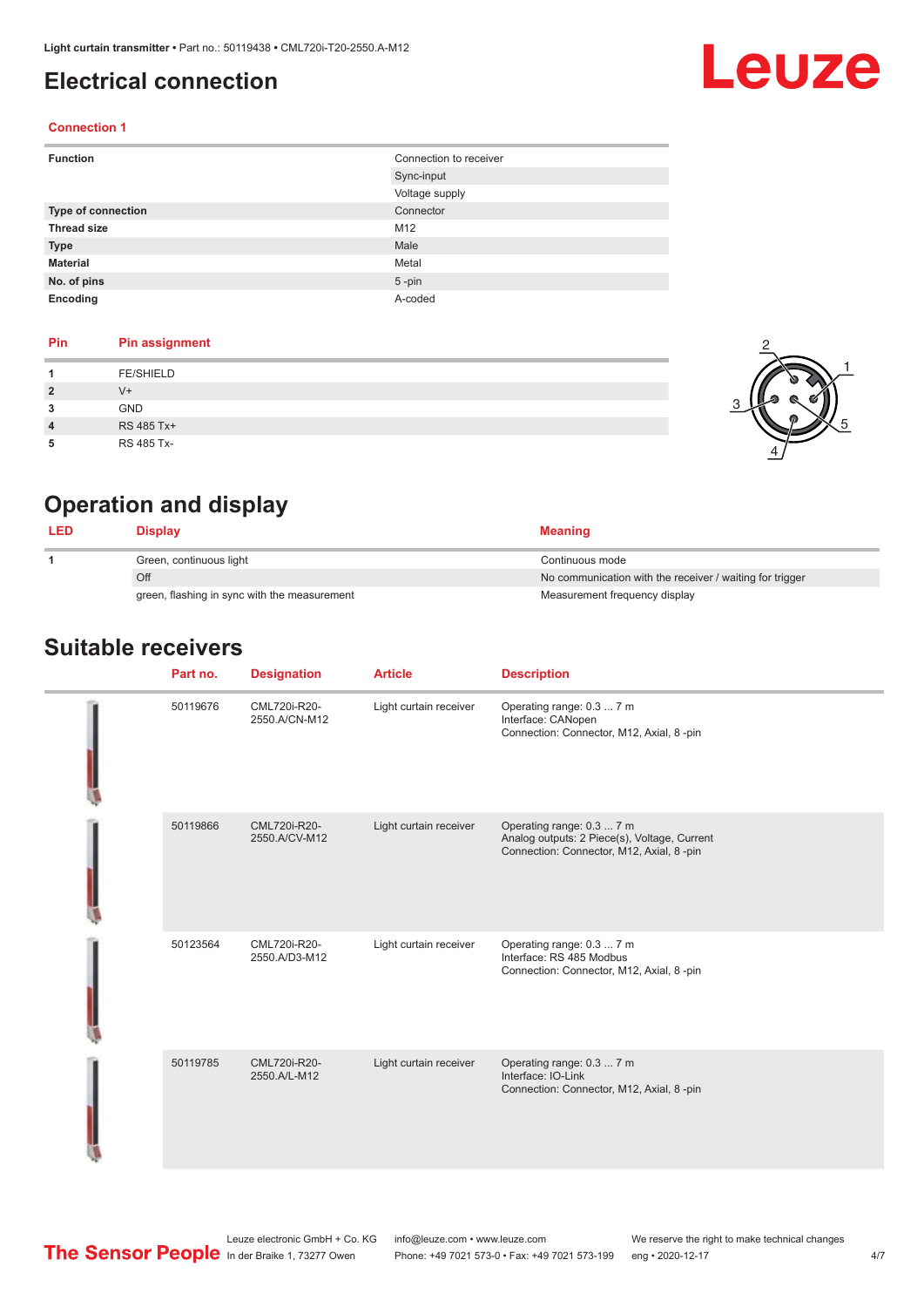### <span id="page-3-0"></span>**Electrical connection**

# Leuze

2

1

5

#### **Connection 1**

| <b>Function</b>    | Connection to receiver |
|--------------------|------------------------|
|                    | Sync-input             |
|                    | Voltage supply         |
| Type of connection | Connector              |
| <b>Thread size</b> | M12                    |
| <b>Type</b>        | Male                   |
| <b>Material</b>    | Metal                  |
| No. of pins        | $5 - pin$              |
| Encoding           | A-coded                |

#### **Pin Pin assignment**

|                | <b>FE/SHIELD</b> |      |
|----------------|------------------|------|
| $\overline{2}$ | $V +$            | - 64 |
| 3              | <b>GND</b>       |      |
| $\overline{4}$ | RS 485 Tx+       |      |
| 5              | RS 485 Tx-       |      |



| <b>LED</b> | Display                                      | <b>Meaning</b>                                           |
|------------|----------------------------------------------|----------------------------------------------------------|
|            | Green, continuous light                      | Continuous mode                                          |
|            | Off                                          | No communication with the receiver / waiting for trigger |
|            | green, flashing in sync with the measurement | Measurement frequency display                            |

#### **Suitable receivers**

| Part no. | <b>Designation</b>            | <b>Article</b>         | <b>Description</b>                                                                                                     |
|----------|-------------------------------|------------------------|------------------------------------------------------------------------------------------------------------------------|
| 50119676 | CML720i-R20-<br>2550.A/CN-M12 | Light curtain receiver | Operating range: 0.3  7 m<br>Interface: CANopen<br>Connection: Connector, M12, Axial, 8 -pin                           |
| 50119866 | CML720i-R20-<br>2550.A/CV-M12 | Light curtain receiver | Operating range: 0.3  7 m<br>Analog outputs: 2 Piece(s), Voltage, Current<br>Connection: Connector, M12, Axial, 8 -pin |
| 50123564 | CML720i-R20-<br>2550.A/D3-M12 | Light curtain receiver | Operating range: 0.3  7 m<br>Interface: RS 485 Modbus<br>Connection: Connector, M12, Axial, 8 -pin                     |
| 50119785 | CML720i-R20-<br>2550.A/L-M12  | Light curtain receiver | Operating range: 0.3  7 m<br>Interface: IO-Link<br>Connection: Connector, M12, Axial, 8 -pin                           |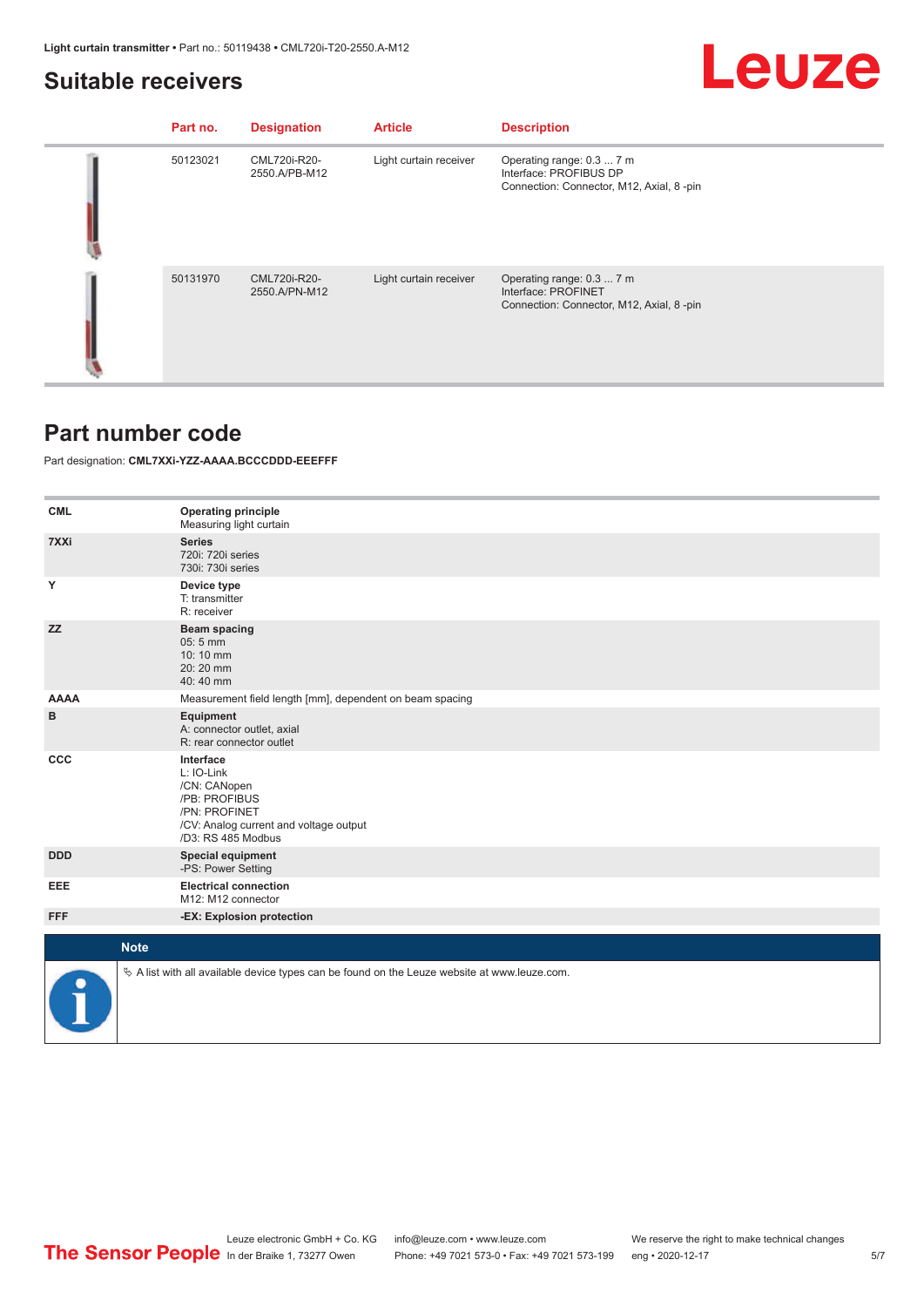#### <span id="page-4-0"></span>**Suitable receivers**

## Leuze

| Part no. | <b>Designation</b>            | <b>Article</b>         | <b>Description</b>                                                                              |
|----------|-------------------------------|------------------------|-------------------------------------------------------------------------------------------------|
| 50123021 | CML720i-R20-<br>2550.A/PB-M12 | Light curtain receiver | Operating range: 0.3  7 m<br>Interface: PROFIBUS DP<br>Connection: Connector, M12, Axial, 8-pin |
| 50131970 | CML720i-R20-<br>2550.A/PN-M12 | Light curtain receiver | Operating range: 0.3  7 m<br>Interface: PROFINET<br>Connection: Connector, M12, Axial, 8-pin    |

### **Part number code**

Part designation: **CML7XXi-YZZ-AAAA.BCCCDDD-EEEFFF**

| <b>CML</b>  | <b>Operating principle</b><br>Measuring light curtain                                                                                     |
|-------------|-------------------------------------------------------------------------------------------------------------------------------------------|
| 7XXi        | <b>Series</b><br>720i: 720i series<br>730i: 730i series                                                                                   |
| Y           | Device type<br>T: transmitter<br>R: receiver                                                                                              |
| <b>ZZ</b>   | <b>Beam spacing</b><br>05:5 mm<br>10:10 mm<br>$20:20$ mm<br>40:40 mm                                                                      |
| <b>AAAA</b> | Measurement field length [mm], dependent on beam spacing                                                                                  |
| в           | Equipment<br>A: connector outlet, axial<br>R: rear connector outlet                                                                       |
| <b>CCC</b>  | Interface<br>L: IO-Link<br>/CN: CANopen<br>/PB: PROFIBUS<br>/PN: PROFINET<br>/CV: Analog current and voltage output<br>/D3: RS 485 Modbus |
| <b>DDD</b>  | <b>Special equipment</b><br>-PS: Power Setting                                                                                            |
| EEE         | <b>Electrical connection</b><br>M12: M12 connector                                                                                        |
| <b>FFF</b>  | -EX: Explosion protection                                                                                                                 |
|             |                                                                                                                                           |
| <b>Note</b> |                                                                                                                                           |
|             | $\&$ A list with all available device types can be found on the Leuze website at www.leuze.com.                                           |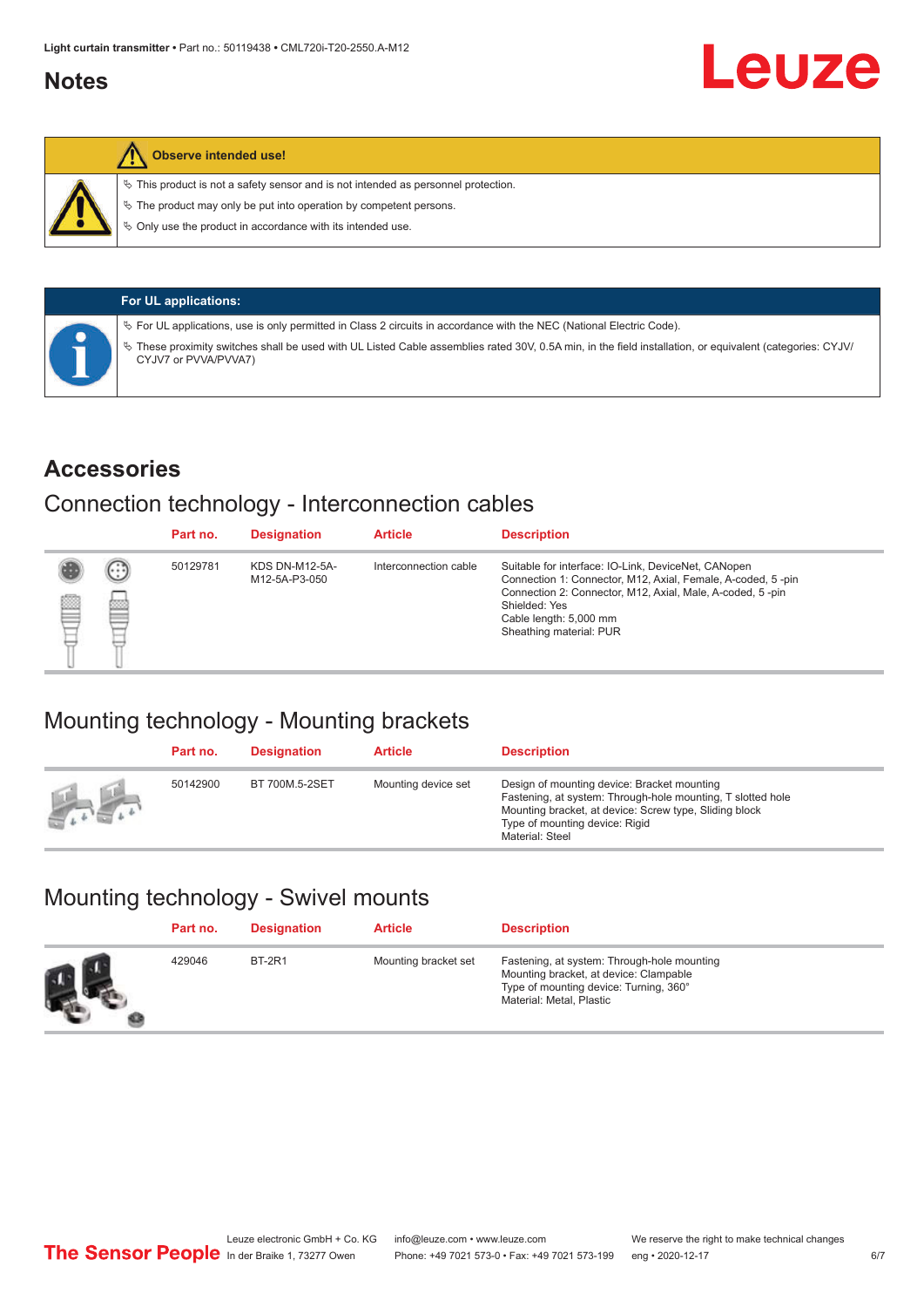### <span id="page-5-0"></span>**Notes**



#### **Observe intended use!**

 $\%$  This product is not a safety sensor and is not intended as personnel protection.

 $\%$  The product may only be put into operation by competent persons.

 $\%$  Only use the product in accordance with its intended use.

| <b>For UL applications:</b>                                                                                                                                                       |
|-----------------------------------------------------------------------------------------------------------------------------------------------------------------------------------|
| Ve For UL applications, use is only permitted in Class 2 circuits in accordance with the NEC (National Electric Code).                                                            |
| V These proximity switches shall be used with UL Listed Cable assemblies rated 30V, 0.5A min, in the field installation, or equivalent (categories: CYJV/<br>CYJV7 or PVVA/PVVA7) |

#### **Accessories**

#### Connection technology - Interconnection cables

|   |        | Part no. | <b>Designation</b>                     | <b>Article</b>        | <b>Description</b>                                                                                                                                                                                                                                    |
|---|--------|----------|----------------------------------------|-----------------------|-------------------------------------------------------------------------------------------------------------------------------------------------------------------------------------------------------------------------------------------------------|
| Ø | ⊙<br>œ | 50129781 | <b>KDS DN-M12-5A-</b><br>M12-5A-P3-050 | Interconnection cable | Suitable for interface: IO-Link, DeviceNet, CANopen<br>Connection 1: Connector, M12, Axial, Female, A-coded, 5-pin<br>Connection 2: Connector, M12, Axial, Male, A-coded, 5-pin<br>Shielded: Yes<br>Cable length: 5,000 mm<br>Sheathing material: PUR |

## Mounting technology - Mounting brackets

|               | Part no. | <b>Designation</b> | <b>Article</b>      | <b>Description</b>                                                                                                                                                                                                        |
|---------------|----------|--------------------|---------------------|---------------------------------------------------------------------------------------------------------------------------------------------------------------------------------------------------------------------------|
| <b>Altres</b> | 50142900 | BT 700M.5-2SET     | Mounting device set | Design of mounting device: Bracket mounting<br>Fastening, at system: Through-hole mounting, T slotted hole<br>Mounting bracket, at device: Screw type, Sliding block<br>Type of mounting device: Rigid<br>Material: Steel |

## Mounting technology - Swivel mounts

| Part no. | <b>Designation</b> | <b>Article</b>       | <b>Description</b>                                                                                                                                          |
|----------|--------------------|----------------------|-------------------------------------------------------------------------------------------------------------------------------------------------------------|
| 429046   | <b>BT-2R1</b>      | Mounting bracket set | Fastening, at system: Through-hole mounting<br>Mounting bracket, at device: Clampable<br>Type of mounting device: Turning, 360°<br>Material: Metal, Plastic |

Leuze